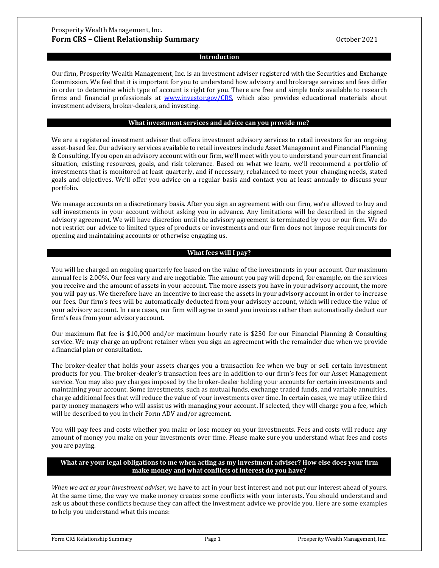#### **Introduction**

Our firm, Prosperity Wealth Management, Inc. is an investment adviser registered with the Securities and Exchange Commission. We feel that it is important for you to understand how advisory and brokerage services and fees differ in order to determine which type of account is right for you. There are free and simple tools available to research firms and financial professionals at [www.investor.gov/CRS,](http://www.investor.gov/CRS) which also provides educational materials about investment advisers, broker-dealers, and investing.

#### **What investment services and advice can you provide me?**

We are a registered investment adviser that offers investment advisory services to retail investors for an ongoing asset-based fee. Our advisory services available to retail investors include Asset Management and Financial Planning & Consulting. If you open an advisory account with our firm, we'll meet with you to understand your current financial situation, existing resources, goals, and risk tolerance. Based on what we learn, we'll recommend a portfolio of investments that is monitored at least quarterly, and if necessary, rebalanced to meet your changing needs, stated goals and objectives. We'll offer you advice on a regular basis and contact you at least annually to discuss your portfolio.

We manage accounts on a discretionary basis. After you sign an agreement with our firm, we're allowed to buy and sell investments in your account without asking you in advance. Any limitations will be described in the signed advisory agreement. We will have discretion until the advisory agreement is terminated by you or our firm. We do not restrict our advice to limited types of products or investments and our firm does not impose requirements for opening and maintaining accounts or otherwise engaging us.

### **What fees will I pay?**

You will be charged an ongoing quarterly fee based on the value of the investments in your account. Our maximum annual fee is 2.00%. Our fees vary and are negotiable. The amount you pay will depend, for example, on the services you receive and the amount of assets in your account. The more assets you have in your advisory account, the more you will pay us. We therefore have an incentive to increase the assets in your advisory account in order to increase our fees. Our firm's fees will be automatically deducted from your advisory account, which will reduce the value of your advisory account. In rare cases, our firm will agree to send you invoices rather than automatically deduct our firm's fees from your advisory account.

Our maximum flat fee is \$10,000 and/or maximum hourly rate is \$250 for our Financial Planning & Consulting service. We may charge an upfront retainer when you sign an agreement with the remainder due when we provide a financial plan or consultation.

The broker-dealer that holds your assets charges you a transaction fee when we buy or sell certain investment products for you. The broker-dealer's transaction fees are in addition to our firm's fees for our Asset Management service. You may also pay charges imposed by the broker-dealer holding your accounts for certain investments and maintaining your account. Some investments, such as mutual funds, exchange traded funds, and variable annuities, charge additional fees that will reduce the value of your investments over time. In certain cases, we may utilize third party money managers who will assist us with managing your account. If selected, they will charge you a fee, which will be described to you in their Form ADV and/or agreement.

You will pay fees and costs whether you make or lose money on your investments. Fees and costs will reduce any amount of money you make on your investments over time. Please make sure you understand what fees and costs you are paying.

### **What are your legal obligations to me when acting as my investment adviser? How else does your firm make money and what conflicts of interest do you have?**

*When we act as your investment adviser*, we have to act in your best interest and not put our interest ahead of yours. At the same time, the way we make money creates some conflicts with your interests. You should understand and ask us about these conflicts because they can affect the investment advice we provide you. Here are some examples to help you understand what this means: